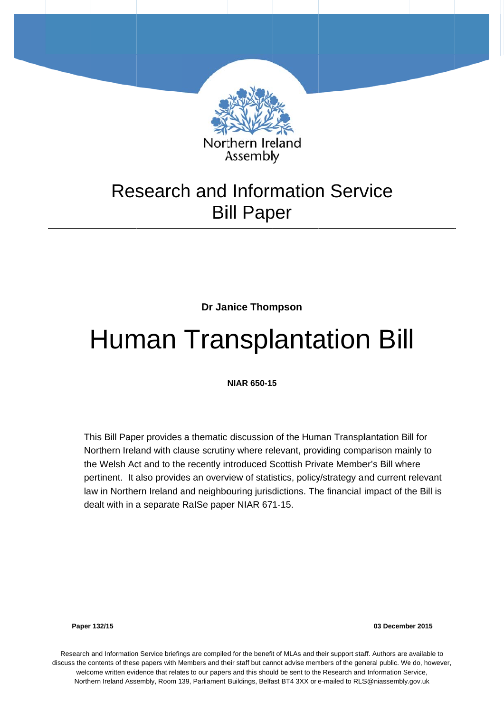

# **Bill Paper**

**Dr Janice Thompson** 

# Human Transplantation Bill

**NIAR 650-15 5**

This Bill Paper provides a thematic discussion of the Human Transplantation Bill for Northern Ireland with clause scrutiny where relevant, providing comparison mainly to the Welsh Act and to the recently introduced Scottish Private Member's Bill where pertinent. It also provides an overview of statistics, policy/strategy and current relevant law in Northern Ireland and neighbouring jurisdictions. The financial impact of the Bill is dealt with in a separate RaISe paper NIAR 671-15.

**Paper 132/15** 

**03 Decemb er 2015** 

Research and Information Service briefings are compiled for the benefit of MLAs and their support staff. Authors are available to discuss the contents of these papers with Members and their staff but cannot advise members of the general public. We do, however, welcome written evidence that relates to our papers and this should be sent to the Research and Information Service, Northern Ireland Assembly, Room 139, Parliament Buildings, Belfast BT4 3XX or e-mailed to RLS@niassembly.gov.uk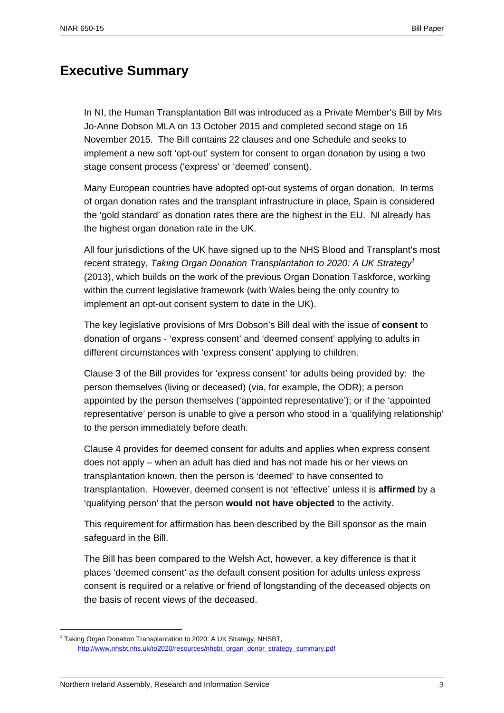### **Executive Summary**

In NI, the Human Transplantation Bill was introduced as a Private Member's Bill by Mrs Jo-Anne Dobson MLA on 13 October 2015 and completed second stage on 16 November 2015. The Bill contains 22 clauses and one Schedule and seeks to implement a new soft 'opt-out' system for consent to organ donation by using a two stage consent process ('express' or 'deemed' consent).

Many European countries have adopted opt-out systems of organ donation. In terms of organ donation rates and the transplant infrastructure in place, Spain is considered the 'gold standard' as donation rates there are the highest in the EU. NI already has the highest organ donation rate in the UK.

All four jurisdictions of the UK have signed up to the NHS Blood and Transplant's most recent strategy, *Taking Organ Donation Transplantation to 2020: A UK Strategy1* (2013), which builds on the work of the previous Organ Donation Taskforce, working within the current legislative framework (with Wales being the only country to implement an opt-out consent system to date in the UK).

The key legislative provisions of Mrs Dobson's Bill deal with the issue of **consent** to donation of organs - 'express consent' and 'deemed consent' applying to adults in different circumstances with 'express consent' applying to children.

Clause 3 of the Bill provides for 'express consent' for adults being provided by: the person themselves (living or deceased) (via, for example, the ODR); a person appointed by the person themselves ('appointed representative'); or if the 'appointed representative' person is unable to give a person who stood in a 'qualifying relationship' to the person immediately before death.

Clause 4 provides for deemed consent for adults and applies when express consent does not apply – when an adult has died and has not made his or her views on transplantation known, then the person is 'deemed' to have consented to transplantation. However, deemed consent is not 'effective' unless it is **affirmed** by a 'qualifying person' that the person **would not have objected** to the activity.

This requirement for affirmation has been described by the Bill sponsor as the main safeguard in the Bill.

The Bill has been compared to the Welsh Act, however, a key difference is that it places 'deemed consent' as the default consent position for adults unless express consent is required or a relative or friend of longstanding of the deceased objects on the basis of recent views of the deceased.

<sup>&</sup>lt;sup>1</sup> Taking Organ Donation Transplantation to 2020: A UK Strategy, NHSBT, http://www.nhsbt.nhs.uk/to2020/resources/nhsbt\_organ\_donor\_strategy\_summary.pdf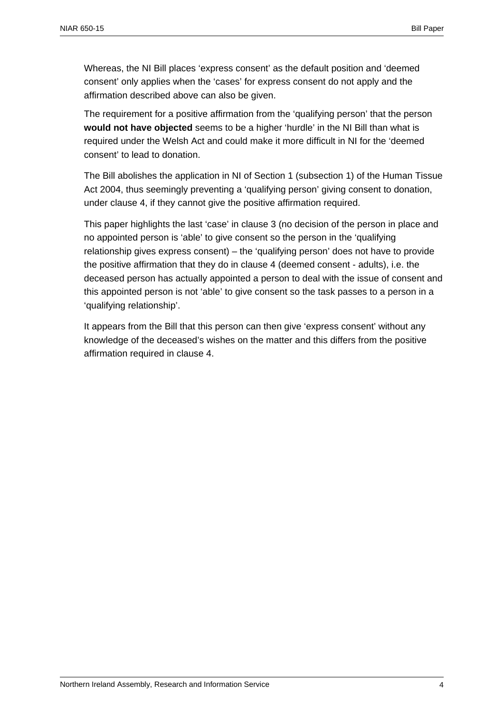Whereas, the NI Bill places 'express consent' as the default position and 'deemed consent' only applies when the 'cases' for express consent do not apply and the affirmation described above can also be given.

The requirement for a positive affirmation from the 'qualifying person' that the person **would not have objected** seems to be a higher 'hurdle' in the NI Bill than what is required under the Welsh Act and could make it more difficult in NI for the 'deemed consent' to lead to donation.

The Bill abolishes the application in NI of Section 1 (subsection 1) of the Human Tissue Act 2004, thus seemingly preventing a 'qualifying person' giving consent to donation, under clause 4, if they cannot give the positive affirmation required.

This paper highlights the last 'case' in clause 3 (no decision of the person in place and no appointed person is 'able' to give consent so the person in the 'qualifying relationship gives express consent) – the 'qualifying person' does not have to provide the positive affirmation that they do in clause 4 (deemed consent - adults), i.e. the deceased person has actually appointed a person to deal with the issue of consent and this appointed person is not 'able' to give consent so the task passes to a person in a 'qualifying relationship'.

It appears from the Bill that this person can then give 'express consent' without any knowledge of the deceased's wishes on the matter and this differs from the positive affirmation required in clause 4.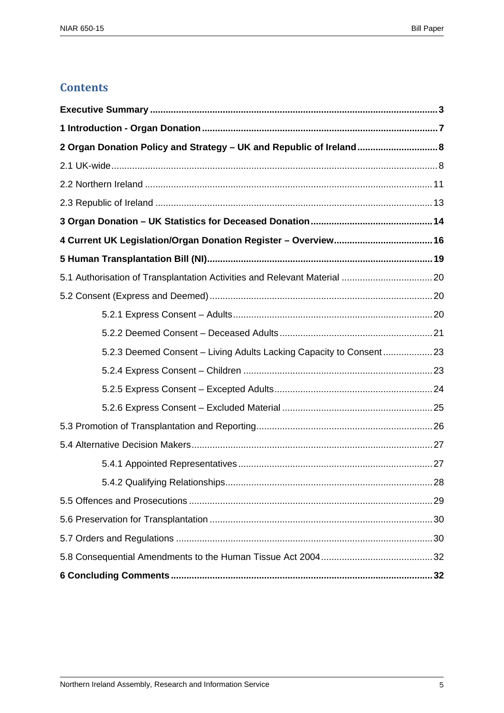## **Contents**

| 2 Organ Donation Policy and Strategy - UK and Republic of Ireland 8 |
|---------------------------------------------------------------------|
|                                                                     |
|                                                                     |
|                                                                     |
|                                                                     |
|                                                                     |
|                                                                     |
|                                                                     |
|                                                                     |
|                                                                     |
|                                                                     |
| 5.2.3 Deemed Consent - Living Adults Lacking Capacity to Consent23  |
|                                                                     |
|                                                                     |
|                                                                     |
|                                                                     |
|                                                                     |
|                                                                     |
|                                                                     |
|                                                                     |
|                                                                     |
|                                                                     |
|                                                                     |
|                                                                     |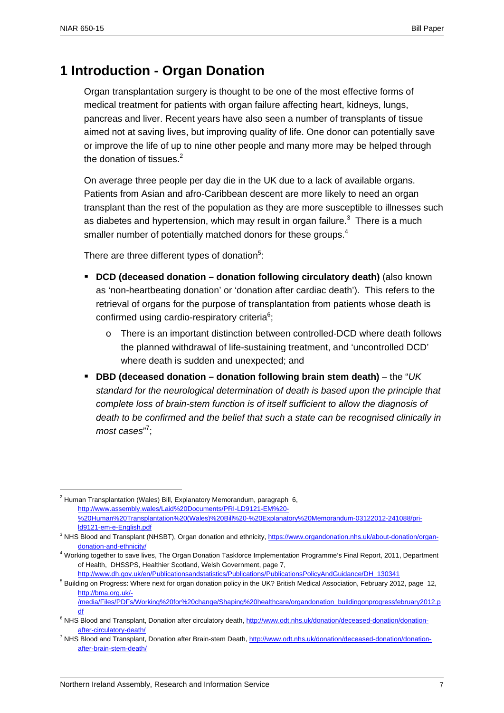1

### **1 Introduction - Organ Donation**

Organ transplantation surgery is thought to be one of the most effective forms of medical treatment for patients with organ failure affecting heart, kidneys, lungs, pancreas and liver. Recent years have also seen a number of transplants of tissue aimed not at saving lives, but improving quality of life. One donor can potentially save or improve the life of up to nine other people and many more may be helped through the donation of tissues. $2$ 

On average three people per day die in the UK due to a lack of available organs. Patients from Asian and afro-Caribbean descent are more likely to need an organ transplant than the rest of the population as they are more susceptible to illnesses such as diabetes and hypertension, which may result in organ failure. $3$  There is a much smaller number of potentially matched donors for these groups.<sup>4</sup>

There are three different types of donation $5$ :

- **DCD (deceased donation donation following circulatory death)** (also known as 'non-heartbeating donation' or 'donation after cardiac death'). This refers to the retrieval of organs for the purpose of transplantation from patients whose death is confirmed using cardio-respiratory criteria $6$ ;
	- o There is an important distinction between controlled-DCD where death follows the planned withdrawal of life-sustaining treatment, and 'uncontrolled DCD' where death is sudden and unexpected; and
- **DBD (deceased donation donation following brain stem death)** the "*UK standard for the neurological determination of death is based upon the principle that complete loss of brain-stem function is of itself sufficient to allow the diagnosis of death to be confirmed and the belief that such a state can be recognised clinically in*  most cases"<sup>7</sup>;

 $2$  Human Transplantation (Wales) Bill, Explanatory Memorandum, paragraph 6, http://www.assembly.wales/Laid%20Documents/PRI-LD9121-EM%20- %20Human%20Transplantation%20(Wales)%20Bill%20-%20Explanatory%20Memorandum-03122012-241088/prild9121-em-e-English.pdf

<sup>&</sup>lt;sup>3</sup> NHS Blood and Transplant (NHSBT), Organ donation and ethnicity, https://www.organdonation.nhs.uk/about-donation/organdonation-and-ethnicity/

<sup>4</sup> Working together to save lives, The Organ Donation Taskforce Implementation Programme's Final Report, 2011, Department of Health, DHSSPS, Healthier Scotland, Welsh Government, page 7,

http://www.dh.gov.uk/en/Publicationsandstatistics/Publications/PublicationsPolicyAndGuidance/DH\_130341

<sup>&</sup>lt;sup>5</sup> Building on Progress: Where next for organ donation policy in the UK? British Medical Association, February 2012, page 12, http://bma.org.uk/-

<sup>/</sup>media/Files/PDFs/Working%20for%20change/Shaping%20healthcare/organdonation\_buildingonprogressfebruary2012.p df

<sup>&</sup>lt;sup>6</sup> NHS Blood and Transplant, Donation after circulatory death, http://www.odt.nhs.uk/donation/deceased-donation/donationafter-circulatory-death/

<sup>&</sup>lt;sup>7</sup> NHS Blood and Transplant, Donation after Brain-stem Death, http://www.odt.nhs.uk/donation/deceased-donation/donationafter-brain-stem-death/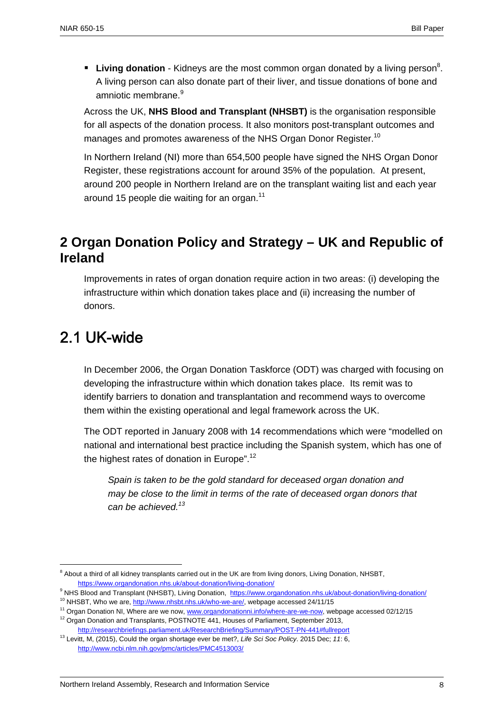**Living donation** - Kidneys are the most common organ donated by a living person<sup>8</sup>. A living person can also donate part of their liver, and tissue donations of bone and amniotic membrane.<sup>9</sup>

Across the UK, **NHS Blood and Transplant (NHSBT)** is the organisation responsible for all aspects of the donation process. It also monitors post-transplant outcomes and manages and promotes awareness of the NHS Organ Donor Register.<sup>10</sup>

In Northern Ireland (NI) more than 654,500 people have signed the NHS Organ Donor Register, these registrations account for around 35% of the population. At present, around 200 people in Northern Ireland are on the transplant waiting list and each year around 15 people die waiting for an organ.<sup>11</sup>

## **2 Organ Donation Policy and Strategy – UK and Republic of Ireland**

Improvements in rates of organ donation require action in two areas: (i) developing the infrastructure within which donation takes place and (ii) increasing the number of donors.

# 2.1 UK-wide

1

In December 2006, the Organ Donation Taskforce (ODT) was charged with focusing on developing the infrastructure within which donation takes place. Its remit was to identify barriers to donation and transplantation and recommend ways to overcome them within the existing operational and legal framework across the UK.

The ODT reported in January 2008 with 14 recommendations which were "modelled on national and international best practice including the Spanish system, which has one of the highest rates of donation in Europe".<sup>12</sup>

*Spain is taken to be the gold standard for deceased organ donation and may be close to the limit in terms of the rate of deceased organ donors that can be achieved.13*

<sup>&</sup>lt;sup>8</sup> About a third of all kidney transplants carried out in the UK are from living donors, Living Donation, NHSBT, https://www.organdonation.nhs.uk/about-donation/living-donation/

<sup>&</sup>lt;sup>9</sup> NHS Blood and Transplant (NHSBT), Living Donation, https://www.organdonation.nhs.uk/about-donation/living-donation/

<sup>&</sup>lt;sup>10</sup> NHSBT, Who we are, http://www.nhsbt.nhs.uk/who-we-are/, webpage accessed 24/11/15<br><sup>11</sup> Organ Donation NI, Where are we now, www.organdonationni.info/where-are-we-now, webpage accessed 02/12/15<br><sup>12</sup> Organ Donation and

http://researchbriefings.parliament.uk/ResearchBriefing/Summary/POST-PN-441#fullreport

<sup>13</sup> Levitt, M, (2015), Could the organ shortage ever be met?, *Life Sci Soc Policy*. 2015 Dec; *11*: 6, http://www.ncbi.nlm.nih.gov/pmc/articles/PMC4513003/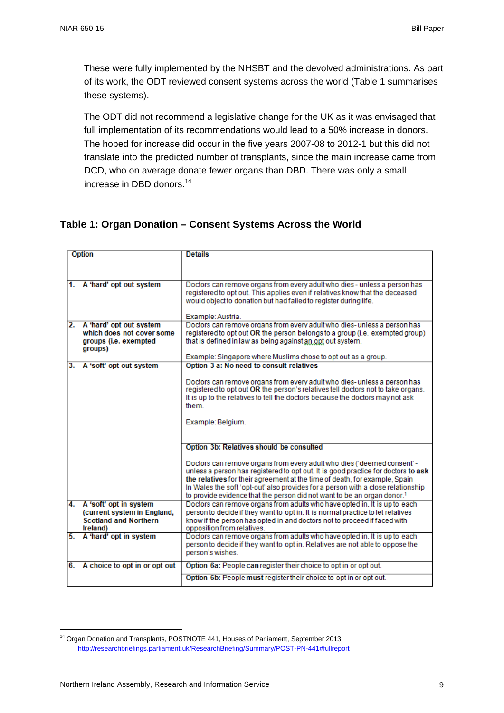These were fully implemented by the NHSBT and the devolved administrations. As part of its work, the ODT reviewed consent systems across the world (Table 1 summarises these systems).

The ODT did not recommend a legislative change for the UK as it was envisaged that full implementation of its recommendations would lead to a 50% increase in donors. The hoped for increase did occur in the five years 2007-08 to 2012-1 but this did not translate into the predicted number of transplants, since the main increase came from DCD, who on average donate fewer organs than DBD. There was only a small increase in DBD donors.<sup>14</sup>

#### **Table 1: Organ Donation – Consent Systems Across the World**

|    | <b>Option</b>                    | <b>Details</b>                                                                                                                                                          |
|----|----------------------------------|-------------------------------------------------------------------------------------------------------------------------------------------------------------------------|
|    |                                  |                                                                                                                                                                         |
|    |                                  |                                                                                                                                                                         |
|    | 1. A 'hard' opt out system       | Doctors can remove organs from every adult who dies - unless a person has                                                                                               |
|    |                                  | registered to opt out. This applies even if relatives know that the deceased                                                                                            |
|    |                                  | would object to donation but had failed to register during life.                                                                                                        |
|    |                                  | Example: Austria.                                                                                                                                                       |
|    | 2. A 'hard' opt out system       | Doctors can remove organs from every adult who dies- unless a person has                                                                                                |
|    | which does not cover some        | registered to opt out OR the person belongs to a group (i.e. exempted group)                                                                                            |
|    | groups (i.e. exempted<br>groups) | that is defined in law as being against an opt out system.                                                                                                              |
|    |                                  | Example: Singapore where Muslims chose to opt out as a group.                                                                                                           |
|    | 3. A 'soft' opt out system       | Option 3 a: No need to consult relatives                                                                                                                                |
|    |                                  |                                                                                                                                                                         |
|    |                                  | Doctors can remove organs from every adult who dies- unless a person has<br>registered to opt out OR the person's relatives tell doctors not to take organs.            |
|    |                                  | It is up to the relatives to tell the doctors because the doctors may not ask                                                                                           |
|    |                                  | them.                                                                                                                                                                   |
|    |                                  |                                                                                                                                                                         |
|    |                                  | Example: Belgium.                                                                                                                                                       |
|    |                                  |                                                                                                                                                                         |
|    |                                  |                                                                                                                                                                         |
|    |                                  | Option 3b: Relatives should be consulted                                                                                                                                |
|    |                                  | Doctors can remove organs from every adult who dies ('deemed consent' -                                                                                                 |
|    |                                  | unless a person has registered to opt out. It is good practice for doctors to ask                                                                                       |
|    |                                  | the relatives for their agreement at the time of death, for example, Spain                                                                                              |
|    |                                  | In Wales the soft 'opt-out' also provides for a person with a close relationship<br>to provide evidence that the person did not want to be an organ donor. <sup>1</sup> |
|    | 4. A 'soft' opt in system        | Doctors can remove organs from adults who have opted in. It is up to each                                                                                               |
|    | (current system in England,      | person to decide if they want to opt in. It is normal practice to let relatives                                                                                         |
|    | <b>Scotland and Northern</b>     | know if the person has opted in and doctors not to proceed if faced with                                                                                                |
|    | Ireland)                         | opposition from relatives.                                                                                                                                              |
|    | 5. A 'hard' opt in system        | Doctors can remove organs from adults who have opted in. It is up to each                                                                                               |
|    |                                  | person to decide if they want to opt in. Relatives are not able to oppose the                                                                                           |
|    |                                  | person's wishes.                                                                                                                                                        |
| 6. | A choice to opt in or opt out    | Option 6a: People can register their choice to opt in or opt out.                                                                                                       |
|    |                                  | Option 6b: People must register their choice to opt in or opt out.                                                                                                      |
|    |                                  |                                                                                                                                                                         |

<sup>&</sup>lt;sup>14</sup> Organ Donation and Transplants, POSTNOTE 441, Houses of Parliament, September 2013, http://researchbriefings.parliament.uk/ResearchBriefing/Summary/POST-PN-441#fullreport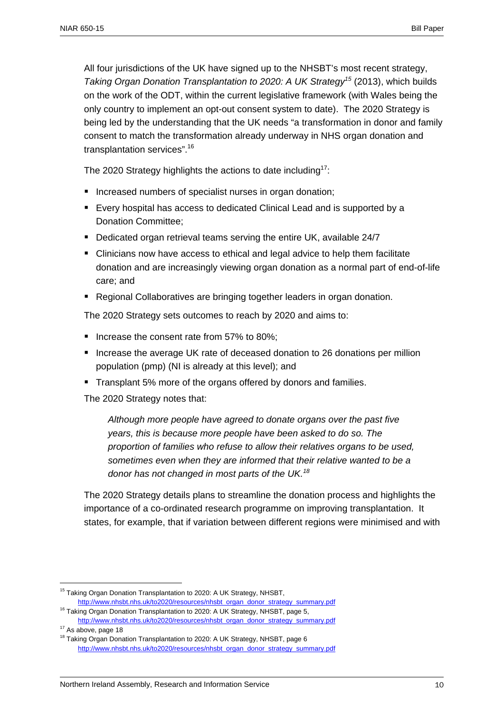All four jurisdictions of the UK have signed up to the NHSBT's most recent strategy, *Taking Organ Donation Transplantation to 2020: A UK Strategy<sup>15</sup>* (2013), which builds on the work of the ODT, within the current legislative framework (with Wales being the only country to implement an opt-out consent system to date). The 2020 Strategy is being led by the understanding that the UK needs "a transformation in donor and family consent to match the transformation already underway in NHS organ donation and transplantation services".16

The 2020 Strategy highlights the actions to date including<sup>17</sup>:

- Increased numbers of specialist nurses in organ donation:
- Every hospital has access to dedicated Clinical Lead and is supported by a Donation Committee;
- Dedicated organ retrieval teams serving the entire UK, available 24/7
- Clinicians now have access to ethical and legal advice to help them facilitate donation and are increasingly viewing organ donation as a normal part of end-of-life care; and
- Regional Collaboratives are bringing together leaders in organ donation.

The 2020 Strategy sets outcomes to reach by 2020 and aims to:

- Increase the consent rate from 57% to 80%:
- Increase the average UK rate of deceased donation to 26 donations per million population (pmp) (NI is already at this level); and
- **Transplant 5% more of the organs offered by donors and families.**

The 2020 Strategy notes that:

<u>.</u>

*Although more people have agreed to donate organs over the past five years, this is because more people have been asked to do so. The proportion of families who refuse to allow their relatives organs to be used, sometimes even when they are informed that their relative wanted to be a donor has not changed in most parts of the UK.<sup>18</sup>*

The 2020 Strategy details plans to streamline the donation process and highlights the importance of a co-ordinated research programme on improving transplantation. It states, for example, that if variation between different regions were minimised and with

<sup>&</sup>lt;sup>15</sup> Taking Organ Donation Transplantation to 2020: A UK Strategy, NHSBT,

http://www.nhsbt.nhs.uk/to2020/resources/nhsbt\_organ\_donor\_strategy\_summary.pdf <sup>16</sup> Taking Organ Donation Transplantation to 2020: A UK Strategy, NHSBT, page 5,

http://www.nhsbt.nhs.uk/to2020/resources/nhsbt\_organ\_donor\_strategy\_summary.pdf <sup>17</sup> As above, page 18

<sup>&</sup>lt;sup>18</sup> Taking Organ Donation Transplantation to 2020: A UK Strategy, NHSBT, page 6 http://www.nhsbt.nhs.uk/to2020/resources/nhsbt\_organ\_donor\_strategy\_summary.pdf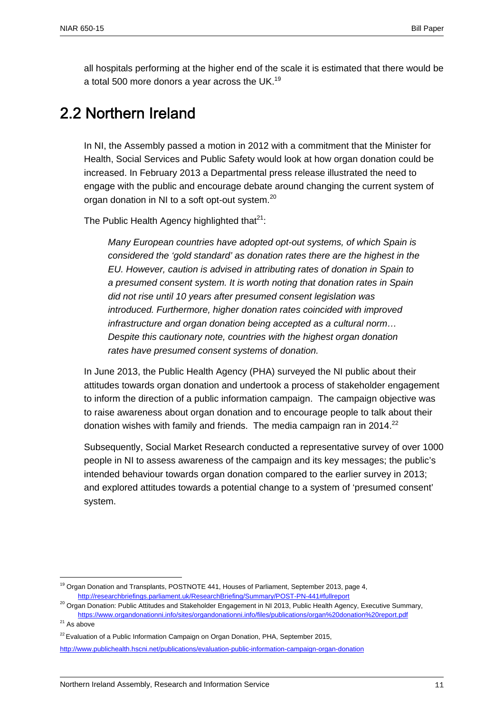all hospitals performing at the higher end of the scale it is estimated that there would be a total 500 more donors a year across the UK.<sup>19</sup>

# 2.2 Northern Ireland

In NI, the Assembly passed a motion in 2012 with a commitment that the Minister for Health, Social Services and Public Safety would look at how organ donation could be increased. In February 2013 a Departmental press release illustrated the need to engage with the public and encourage debate around changing the current system of organ donation in NI to a soft opt-out system.<sup>20</sup>

The Public Health Agency highlighted that $21$ :

*Many European countries have adopted opt-out systems, of which Spain is considered the 'gold standard' as donation rates there are the highest in the EU. However, caution is advised in attributing rates of donation in Spain to a presumed consent system. It is worth noting that donation rates in Spain did not rise until 10 years after presumed consent legislation was introduced. Furthermore, higher donation rates coincided with improved infrastructure and organ donation being accepted as a cultural norm… Despite this cautionary note, countries with the highest organ donation rates have presumed consent systems of donation.* 

In June 2013, the Public Health Agency (PHA) surveyed the NI public about their attitudes towards organ donation and undertook a process of stakeholder engagement to inform the direction of a public information campaign. The campaign objective was to raise awareness about organ donation and to encourage people to talk about their donation wishes with family and friends. The media campaign ran in 2014.<sup>22</sup>

Subsequently, Social Market Research conducted a representative survey of over 1000 people in NI to assess awareness of the campaign and its key messages; the public's intended behaviour towards organ donation compared to the earlier survey in 2013; and explored attitudes towards a potential change to a system of 'presumed consent' system.

<sup>&</sup>lt;sup>19</sup> Organ Donation and Transplants, POSTNOTE 441, Houses of Parliament, September 2013, page 4, http://researchbriefings.parliament.uk/ResearchBriefing/Summary/POST-PN-441#fullreport

<sup>&</sup>lt;sup>20</sup> Organ Donation: Public Attitudes and Stakeholder Engagement in NI 2013, Public Health Agency, Executive Summary,

https://www.organdonationni.info/sites/organdonationni.info/files/publications/organ%20donation%20report.pdf  $21$  As above

 $22$  Evaluation of a Public Information Campaign on Organ Donation, PHA, September 2015, http://www.publichealth.hscni.net/publications/evaluation-public-information-campaign-organ-donation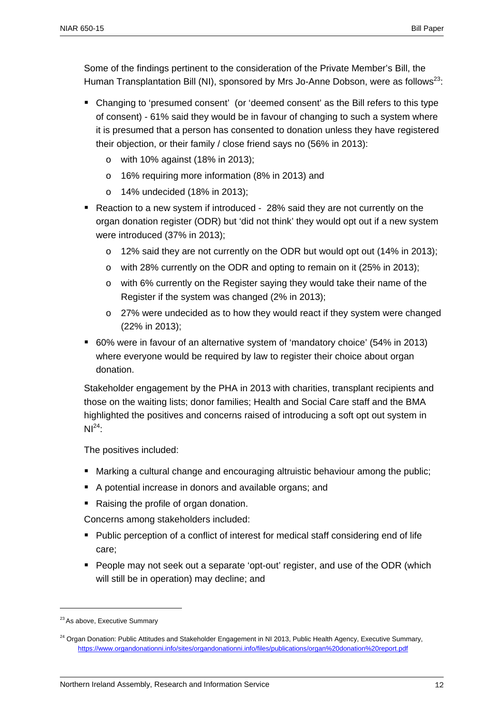Some of the findings pertinent to the consideration of the Private Member's Bill, the Human Transplantation Bill (NI), sponsored by Mrs Jo-Anne Dobson, were as follows<sup>23</sup>:

- Changing to 'presumed consent' (or 'deemed consent' as the Bill refers to this type of consent) - 61% said they would be in favour of changing to such a system where it is presumed that a person has consented to donation unless they have registered their objection, or their family / close friend says no (56% in 2013):
	- o with 10% against (18% in 2013);
	- o 16% requiring more information (8% in 2013) and
	- o 14% undecided (18% in 2013);
- Reaction to a new system if introduced 28% said they are not currently on the organ donation register (ODR) but 'did not think' they would opt out if a new system were introduced (37% in 2013);
	- o 12% said they are not currently on the ODR but would opt out (14% in 2013);
	- o with 28% currently on the ODR and opting to remain on it (25% in 2013);
	- o with 6% currently on the Register saying they would take their name of the Register if the system was changed (2% in 2013);
	- $\circ$  27% were undecided as to how they would react if they system were changed (22% in 2013);
- 60% were in favour of an alternative system of 'mandatory choice' (54% in 2013) where everyone would be required by law to register their choice about organ donation.

Stakeholder engagement by the PHA in 2013 with charities, transplant recipients and those on the waiting lists; donor families; Health and Social Care staff and the BMA highlighted the positives and concerns raised of introducing a soft opt out system in  $NI<sup>24</sup>$ :

The positives included:

- Marking a cultural change and encouraging altruistic behaviour among the public;
- A potential increase in donors and available organs; and
- Raising the profile of organ donation.

Concerns among stakeholders included:

- **Public perception of a conflict of interest for medical staff considering end of life** care;
- People may not seek out a separate 'opt-out' register, and use of the ODR (which will still be in operation) may decline; and

<sup>&</sup>lt;sup>23</sup> As above, Executive Summary

<sup>&</sup>lt;sup>24</sup> Organ Donation: Public Attitudes and Stakeholder Engagement in NI 2013, Public Health Agency, Executive Summary, https://www.organdonationni.info/sites/organdonationni.info/files/publications/organ%20donation%20report.pdf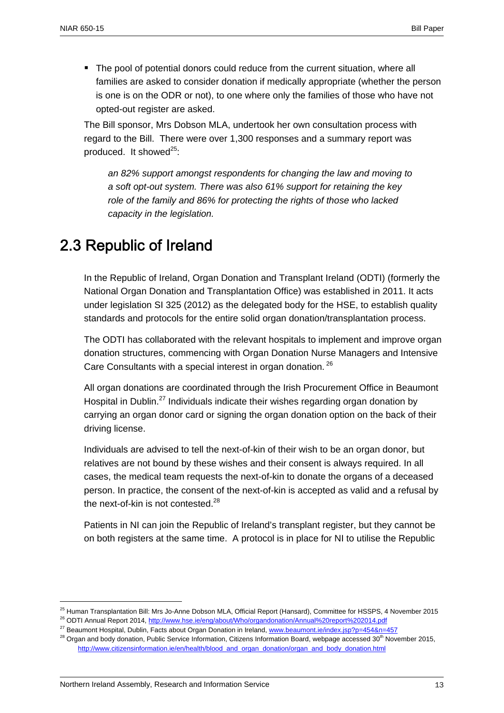The pool of potential donors could reduce from the current situation, where all families are asked to consider donation if medically appropriate (whether the person is one is on the ODR or not), to one where only the families of those who have not opted-out register are asked.

The Bill sponsor, Mrs Dobson MLA, undertook her own consultation process with regard to the Bill. There were over 1,300 responses and a summary report was produced. It showed<sup>25</sup>:

*an 82% support amongst respondents for changing the law and moving to a soft opt-out system. There was also 61% support for retaining the key role of the family and 86% for protecting the rights of those who lacked capacity in the legislation.* 

# 2.3 Republic of Ireland

In the Republic of Ireland, Organ Donation and Transplant Ireland (ODTI) (formerly the National Organ Donation and Transplantation Office) was established in 2011. It acts under legislation SI 325 (2012) as the delegated body for the HSE, to establish quality standards and protocols for the entire solid organ donation/transplantation process.

The ODTI has collaborated with the relevant hospitals to implement and improve organ donation structures, commencing with Organ Donation Nurse Managers and Intensive Care Consultants with a special interest in organ donation.<sup>26</sup>

All organ donations are coordinated through the Irish Procurement Office in Beaumont Hospital in Dublin.<sup>27</sup> Individuals indicate their wishes regarding organ donation by carrying an organ donor card or signing the organ donation option on the back of their driving license.

Individuals are advised to tell the next-of-kin of their wish to be an organ donor, but relatives are not bound by these wishes and their consent is always required. In all cases, the medical team requests the next-of-kin to donate the organs of a deceased person. In practice, the consent of the next-of-kin is accepted as valid and a refusal by the next-of-kin is not contested. $^{28}$ 

Patients in NI can join the Republic of Ireland's transplant register, but they cannot be on both registers at the same time. A protocol is in place for NI to utilise the Republic

<sup>&</sup>lt;sup>25</sup> Human Transplantation Bill: Mrs Jo-Anne Dobson MLA, Official Report (Hansard), Committee for HSSPS, 4 November 2015<br><sup>26</sup> ODTI Annual Report 2014, http://www.hse.ie/eng/about/Who/organdonation/Annual%20report%202014.p

<sup>&</sup>lt;sup>27</sup> Beaumont Hospital, Dublin, Facts about Organ Donation in Ireland, www.beaumont.ie/index.jsp?p=454&n=457

 $28$  Organ and body donation, Public Service Information, Citizens Information Board, webpage accessed  $30<sup>th</sup>$  November 2015, http://www.citizensinformation.ie/en/health/blood\_and\_organ\_donation/organ\_and\_body\_donation.html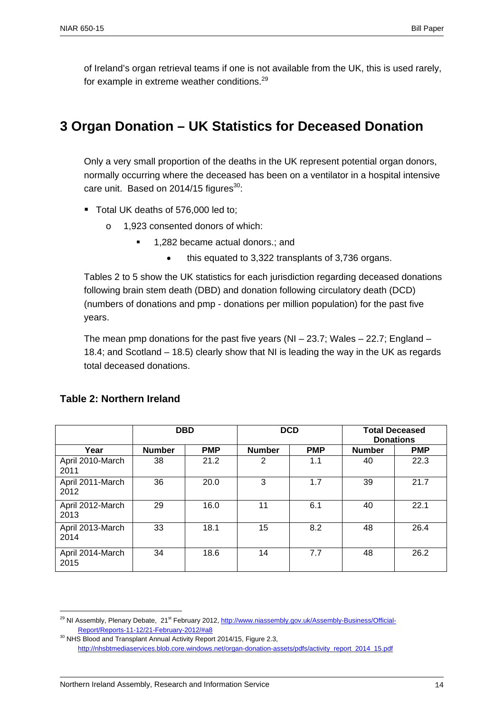of Ireland's organ retrieval teams if one is not available from the UK, this is used rarely, for example in extreme weather conditions.<sup>29</sup>

# **3 Organ Donation – UK Statistics for Deceased Donation**

Only a very small proportion of the deaths in the UK represent potential organ donors, normally occurring where the deceased has been on a ventilator in a hospital intensive care unit. Based on 2014/15 figures $^{30}$ :

- Total UK deaths of 576,000 led to;
	- o 1,923 consented donors of which:
		- **1.282 became actual donors.: and** 
			- this equated to 3,322 transplants of 3,736 organs.

Tables 2 to 5 show the UK statistics for each jurisdiction regarding deceased donations following brain stem death (DBD) and donation following circulatory death (DCD) (numbers of donations and pmp - donations per million population) for the past five years.

The mean pmp donations for the past five years (NI – 23.7; Wales – 22.7; England – 18.4; and Scotland – 18.5) clearly show that NI is leading the way in the UK as regards total deceased donations.

|                          | <b>DBD</b>    |            | <b>DCD</b>     |            | <b>Total Deceased</b><br><b>Donations</b> |            |
|--------------------------|---------------|------------|----------------|------------|-------------------------------------------|------------|
| Year                     | <b>Number</b> | <b>PMP</b> | <b>Number</b>  | <b>PMP</b> | <b>Number</b>                             | <b>PMP</b> |
| April 2010-March<br>2011 | 38            | 21.2       | $\overline{2}$ | 1.1        | 40                                        | 22.3       |
| April 2011-March<br>2012 | 36            | 20.0       | 3              | 1.7        | 39                                        | 21.7       |
| April 2012-March<br>2013 | 29            | 16.0       | 11             | 6.1        | 40                                        | 22.1       |
| April 2013-March<br>2014 | 33            | 18.1       | 15             | 8.2        | 48                                        | 26.4       |
| April 2014-March<br>2015 | 34            | 18.6       | 14             | 7.7        | 48                                        | 26.2       |

#### **Table 2: Northern Ireland**

<sup>&</sup>lt;sup>29</sup> NI Assembly, Plenary Debate, 21<sup>st</sup> February 2012, http://www.niassembly.gov.uk/Assembly-Business/Official-Report/Reports-11-12/21-February-2012/#a8

<sup>&</sup>lt;sup>30</sup> NHS Blood and Transplant Annual Activity Report 2014/15, Figure 2.3, http://nhsbtmediaservices.blob.core.windows.net/organ-donation-assets/pdfs/activity\_report\_2014\_15.pdf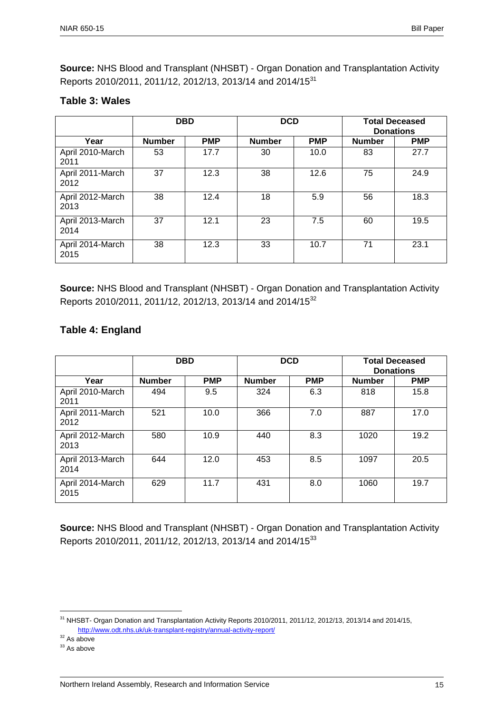**Source:** NHS Blood and Transplant (NHSBT) - Organ Donation and Transplantation Activity Reports 2010/2011, 2011/12, 2012/13, 2013/14 and 2014/15<sup>31</sup>

#### **Table 3: Wales**

|                          | <b>DBD</b>    |            | <b>DCD</b>    |            | <b>Total Deceased</b><br><b>Donations</b> |            |
|--------------------------|---------------|------------|---------------|------------|-------------------------------------------|------------|
| Year                     | <b>Number</b> | <b>PMP</b> | <b>Number</b> | <b>PMP</b> | <b>Number</b>                             | <b>PMP</b> |
| April 2010-March<br>2011 | 53            | 17.7       | 30            | 10.0       | 83                                        | 27.7       |
| April 2011-March<br>2012 | 37            | 12.3       | 38            | 12.6       | 75                                        | 24.9       |
| April 2012-March<br>2013 | 38            | 12.4       | 18            | 5.9        | 56                                        | 18.3       |
| April 2013-March<br>2014 | 37            | 12.1       | 23            | 7.5        | 60                                        | 19.5       |
| April 2014-March<br>2015 | 38            | 12.3       | 33            | 10.7       | 71                                        | 23.1       |

**Source:** NHS Blood and Transplant (NHSBT) - Organ Donation and Transplantation Activity Reports 2010/2011, 2011/12, 2012/13, 2013/14 and 2014/15<sup>32</sup>

### **Table 4: England**

|                          | <b>DBD</b>    |            | <b>DCD</b>    |            | <b>Total Deceased</b><br><b>Donations</b> |            |
|--------------------------|---------------|------------|---------------|------------|-------------------------------------------|------------|
| Year                     | <b>Number</b> | <b>PMP</b> | <b>Number</b> | <b>PMP</b> | <b>Number</b>                             | <b>PMP</b> |
| April 2010-March<br>2011 | 494           | 9.5        | 324           | 6.3        | 818                                       | 15.8       |
| April 2011-March<br>2012 | 521           | 10.0       | 366           | 7.0        | 887                                       | 17.0       |
| April 2012-March<br>2013 | 580           | 10.9       | 440           | 8.3        | 1020                                      | 19.2       |
| April 2013-March<br>2014 | 644           | 12.0       | 453           | 8.5        | 1097                                      | 20.5       |
| April 2014-March<br>2015 | 629           | 11.7       | 431           | 8.0        | 1060                                      | 19.7       |

**Source:** NHS Blood and Transplant (NHSBT) - Organ Donation and Transplantation Activity Reports 2010/2011, 2011/12, 2012/13, 2013/14 and 2014/15<sup>33</sup>

 $32$  As above

<sup>&</sup>lt;sup>31</sup> NHSBT- Organ Donation and Transplantation Activity Reports 2010/2011, 2011/12, 2012/13, 2013/14 and 2014/15, http://www.odt.nhs.uk/uk-transplant-registry/annual-activity-report/

<sup>&</sup>lt;sup>33</sup> As above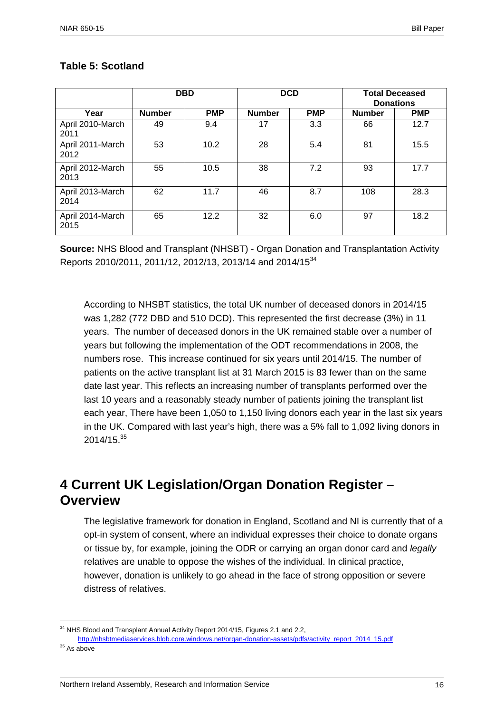|                          | <b>DBD</b>    |            | <b>DCD</b>    |            | <b>Total Deceased</b><br><b>Donations</b> |            |
|--------------------------|---------------|------------|---------------|------------|-------------------------------------------|------------|
| Year                     | <b>Number</b> | <b>PMP</b> | <b>Number</b> | <b>PMP</b> | <b>Number</b>                             | <b>PMP</b> |
| April 2010-March<br>2011 | 49            | 9.4        | 17            | 3.3        | 66                                        | 12.7       |
| April 2011-March<br>2012 | 53            | 10.2       | 28            | 5.4        | 81                                        | 15.5       |
| April 2012-March<br>2013 | 55            | 10.5       | 38            | 7.2        | 93                                        | 17.7       |
| April 2013-March<br>2014 | 62            | 11.7       | 46            | 8.7        | 108                                       | 28.3       |
| April 2014-March<br>2015 | 65            | 12.2       | 32            | 6.0        | 97                                        | 18.2       |

#### **Table 5: Scotland**

**Source:** NHS Blood and Transplant (NHSBT) - Organ Donation and Transplantation Activity Reports 2010/2011, 2011/12, 2012/13, 2013/14 and 2014/15<sup>34</sup>

According to NHSBT statistics, the total UK number of deceased donors in 2014/15 was 1,282 (772 DBD and 510 DCD). This represented the first decrease (3%) in 11 years. The number of deceased donors in the UK remained stable over a number of years but following the implementation of the ODT recommendations in 2008, the numbers rose. This increase continued for six years until 2014/15. The number of patients on the active transplant list at 31 March 2015 is 83 fewer than on the same date last year. This reflects an increasing number of transplants performed over the last 10 years and a reasonably steady number of patients joining the transplant list each year, There have been 1,050 to 1,150 living donors each year in the last six years in the UK. Compared with last year's high, there was a 5% fall to 1,092 living donors in  $2014/15.<sup>35</sup>$ 

## **4 Current UK Legislation/Organ Donation Register – Overview**

The legislative framework for donation in England, Scotland and NI is currently that of a opt-in system of consent, where an individual expresses their choice to donate organs or tissue by, for example, joining the ODR or carrying an organ donor card and *legally*  relatives are unable to oppose the wishes of the individual. In clinical practice, however, donation is unlikely to go ahead in the face of strong opposition or severe distress of relatives.

<sup>&</sup>lt;sup>34</sup> NHS Blood and Transplant Annual Activity Report 2014/15, Figures 2.1 and 2.2,

http://nhsbtmediaservices.blob.core.windows.net/organ-donation-assets/pdfs/activity\_report\_2014\_15.pdf <sup>35</sup> As above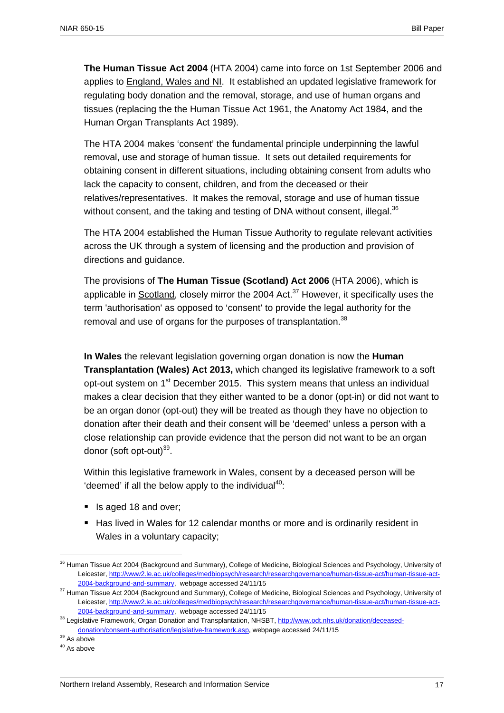**The Human Tissue Act 2004** (HTA 2004) came into force on 1st September 2006 and applies to England, Wales and NI. It established an updated legislative framework for regulating body donation and the removal, storage, and use of human organs and tissues (replacing the the Human Tissue Act 1961, the Anatomy Act 1984, and the Human Organ Transplants Act 1989).

The HTA 2004 makes 'consent' the fundamental principle underpinning the lawful removal, use and storage of human tissue. It sets out detailed requirements for obtaining consent in different situations, including obtaining consent from adults who lack the capacity to consent, children, and from the deceased or their relatives/representatives. It makes the removal, storage and use of human tissue without consent, and the taking and testing of DNA without consent, illegal. $36$ 

The HTA 2004 established the Human Tissue Authority to regulate relevant activities across the UK through a system of licensing and the production and provision of directions and guidance.

The provisions of **The Human Tissue (Scotland) Act 2006** (HTA 2006), which is applicable in Scotland, closely mirror the 2004 Act. $37$  However, it specifically uses the term 'authorisation' as opposed to 'consent' to provide the legal authority for the removal and use of organs for the purposes of transplantation.<sup>38</sup>

**In Wales** the relevant legislation governing organ donation is now the **Human Transplantation (Wales) Act 2013,** which changed its legislative framework to a soft opt-out system on 1<sup>st</sup> December 2015. This system means that unless an individual makes a clear decision that they either wanted to be a donor (opt-in) or did not want to be an organ donor (opt-out) they will be treated as though they have no objection to donation after their death and their consent will be 'deemed' unless a person with a close relationship can provide evidence that the person did not want to be an organ donor (soft opt-out) $39$ .

Within this legislative framework in Wales, consent by a deceased person will be 'deemed' if all the below apply to the individual $40$ :

- Is aged 18 and over;
- Has lived in Wales for 12 calendar months or more and is ordinarily resident in Wales in a voluntary capacity;

<sup>&</sup>lt;sup>36</sup> Human Tissue Act 2004 (Background and Summary), College of Medicine, Biological Sciences and Psychology, University of Leicester, http://www2.le.ac.uk/colleges/medbiopsych/research/researchgovernance/human-tissue-act/human-tissue-act-2004-background-and-summary, webpage accessed 24/11/15<br><sup>37</sup> Human Tissue Act 2004 (Background and Summary), College of Medicine, Biological Sciences and Psychology, University of

Leicester, http://www2.le.ac.uk/colleges/medbiopsych/research/researchgovernance/human-tissue-act/human-tissue-act-2004-background-and-summary, webpage accessed 24/11/15<br><sup>38</sup> Legislative Framework, Organ Donation and Transplantation, NHSBT, http://www.odt.nhs.uk/donation/deceased-

donation/consent-authorisation/legislative-framework.asp, webpage accessed 24/11/15 39 As above

<sup>&</sup>lt;sup>40</sup> As above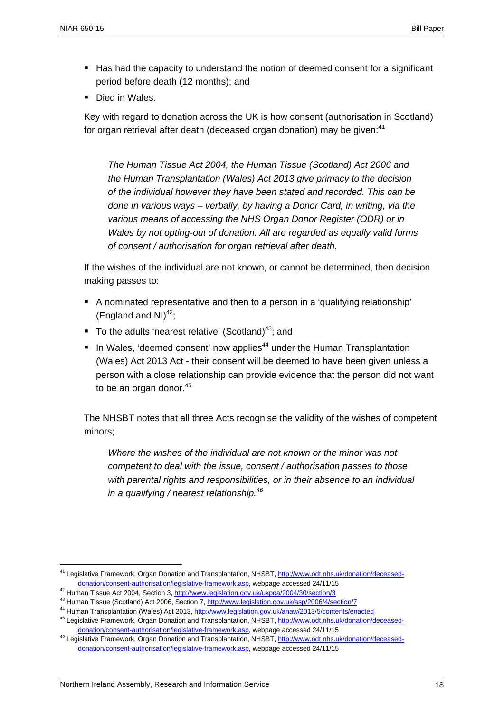- Has had the capacity to understand the notion of deemed consent for a significant period before death (12 months); and
- Died in Wales.

Key with regard to donation across the UK is how consent (authorisation in Scotland) for organ retrieval after death (deceased organ donation) may be given: $41$ 

*The Human Tissue Act 2004, the Human Tissue (Scotland) Act 2006 and the Human Transplantation (Wales) Act 2013 give primacy to the decision of the individual however they have been stated and recorded. This can be done in various ways – verbally, by having a Donor Card, in writing, via the various means of accessing the NHS Organ Donor Register (ODR) or in Wales by not opting-out of donation. All are regarded as equally valid forms of consent / authorisation for organ retrieval after death.* 

If the wishes of the individual are not known, or cannot be determined, then decision making passes to:

- A nominated representative and then to a person in a 'qualifying relationship' (England and NI) $^{42}$ ;
- To the adults 'nearest relative' (Scotland)<sup>43</sup>; and
- In Wales, 'deemed consent' now applies<sup>44</sup> under the Human Transplantation (Wales) Act 2013 Act - their consent will be deemed to have been given unless a person with a close relationship can provide evidence that the person did not want to be an organ donor. $45$

The NHSBT notes that all three Acts recognise the validity of the wishes of competent minors;

*Where the wishes of the individual are not known or the minor was not competent to deal with the issue, consent / authorisation passes to those with parental rights and responsibilities, or in their absence to an individual in a qualifying / nearest relationship.46* 

<sup>&</sup>lt;sup>41</sup> Legislative Framework, Organ Donation and Transplantation, NHSBT, http://www.odt.nhs.uk/donation/deceaseddonation/consent-authorisation/legislative-framework.asp, webpage accessed 24/11/15<br><sup>42</sup> Human Tissue Act 2004, Section 3, http://www.legislation.gov.uk/ukpga/2004/30/section/3

<sup>&</sup>lt;sup>43</sup> Human Tissue (Scotland) Act 2006, Section 7, http://www.legislation.gov.uk/asp/2006/4/section/7

<sup>&</sup>lt;sup>44</sup> Human Transplantation (Wales) Act 2013, http://www.legislation.gov.uk/anaw/2013/5/contents/enacted <sup>45</sup> Legislative Framework, Organ Donation and Transplantation, NHSBT, http://www.odt.nhs.uk/donation/deceased-

donation/consent-authorisation/legislative-framework.asp, webpage accessed 24/11/15<br><sup>46</sup> Legislative Framework, Organ Donation and Transplantation, NHSBT, http://www.odt.nhs.uk/donation/deceaseddonation/consent-authorisation/legislative-framework.asp, webpage accessed 24/11/15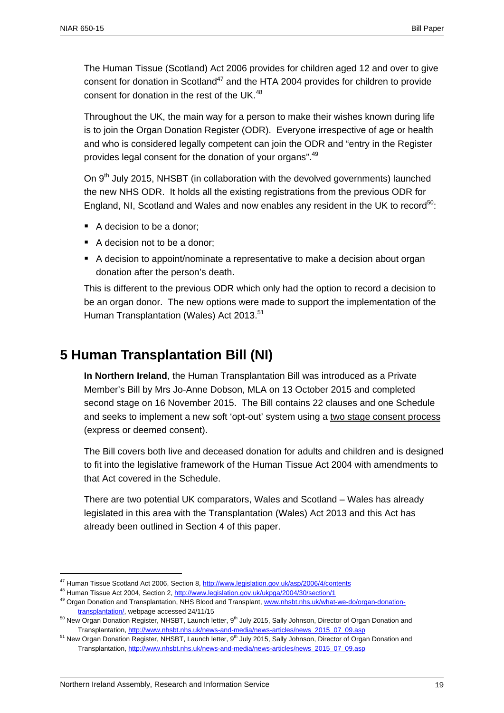The Human Tissue (Scotland) Act 2006 provides for children aged 12 and over to give consent for donation in Scotland<sup>47</sup> and the HTA 2004 provides for children to provide consent for donation in the rest of the UK.<sup>48</sup>

Throughout the UK, the main way for a person to make their wishes known during life is to join the Organ Donation Register (ODR). Everyone irrespective of age or health and who is considered legally competent can join the ODR and "entry in the Register provides legal consent for the donation of your organs".<sup>49</sup>

On 9<sup>th</sup> July 2015, NHSBT (in collaboration with the devolved governments) launched the new NHS ODR. It holds all the existing registrations from the previous ODR for England, NI, Scotland and Wales and now enables any resident in the UK to record<sup>50</sup>:

- A decision to be a donor;
- A decision not to be a donor;
- A decision to appoint/nominate a representative to make a decision about organ donation after the person's death.

This is different to the previous ODR which only had the option to record a decision to be an organ donor. The new options were made to support the implementation of the Human Transplantation (Wales) Act 2013.<sup>51</sup>

### **5 Human Transplantation Bill (NI)**

**In Northern Ireland**, the Human Transplantation Bill was introduced as a Private Member's Bill by Mrs Jo-Anne Dobson, MLA on 13 October 2015 and completed second stage on 16 November 2015. The Bill contains 22 clauses and one Schedule and seeks to implement a new soft 'opt-out' system using a two stage consent process (express or deemed consent).

The Bill covers both live and deceased donation for adults and children and is designed to fit into the legislative framework of the Human Tissue Act 2004 with amendments to that Act covered in the Schedule.

There are two potential UK comparators, Wales and Scotland – Wales has already legislated in this area with the Transplantation (Wales) Act 2013 and this Act has already been outlined in Section 4 of this paper.

<sup>&</sup>lt;sup>47</sup> Human Tissue Scotland Act 2006, Section 8, http://www.legislation.gov.uk/asp/2006/4/contents

<sup>&</sup>lt;sup>48</sup> Human Tissue Act 2004, Section 2, http://www.legislation.gov.uk/ukpga/2004/30/section/1<br><sup>49</sup> Organ Donation and Transplantation, NHS Blood and Transplant, www.nhsbt.nhs.uk/what-we-do/organ-donationtransplantation/, webpage accessed 24/11/15<br><sup>50</sup> New Organ Donation Register, NHSBT, Launch letter, 9<sup>th</sup> July 2015, Sally Johnson, Director of Organ Donation and

Transplantation, http://www.nhsbt.nhs.uk/news-and-media/news-articles/news\_2015\_07\_09.asp

 $51$  New Organ Donation Register, NHSBT, Launch letter,  $9<sup>th</sup>$  July 2015, Sally Johnson, Director of Organ Donation and Transplantation, http://www.nhsbt.nhs.uk/news-and-media/news-articles/news\_2015\_07\_09.asp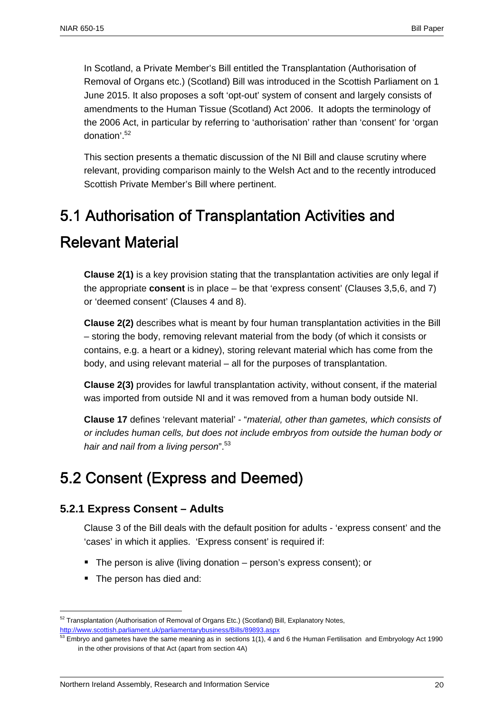In Scotland, a Private Member's Bill entitled the Transplantation (Authorisation of Removal of Organs etc.) (Scotland) Bill was introduced in the Scottish Parliament on 1 June 2015. It also proposes a soft 'opt-out' system of consent and largely consists of amendments to the Human Tissue (Scotland) Act 2006. It adopts the terminology of the 2006 Act, in particular by referring to 'authorisation' rather than 'consent' for 'organ donation'.52

This section presents a thematic discussion of the NI Bill and clause scrutiny where relevant, providing comparison mainly to the Welsh Act and to the recently introduced Scottish Private Member's Bill where pertinent.

# 5.1 Authorisation of Transplantation Activities and

# Relevant Material

**Clause 2(1)** is a key provision stating that the transplantation activities are only legal if the appropriate **consent** is in place – be that 'express consent' (Clauses 3,5,6, and 7) or 'deemed consent' (Clauses 4 and 8).

**Clause 2(2)** describes what is meant by four human transplantation activities in the Bill – storing the body, removing relevant material from the body (of which it consists or contains, e.g. a heart or a kidney), storing relevant material which has come from the body, and using relevant material – all for the purposes of transplantation.

**Clause 2(3)** provides for lawful transplantation activity, without consent, if the material was imported from outside NI and it was removed from a human body outside NI.

**Clause 17** defines 'relevant material' - "*material, other than gametes, which consists of or includes human cells, but does not include embryos from outside the human body or hair and nail from a living person*".53

# 5.2 Consent (Express and Deemed)

### **5.2.1 Express Consent – Adults**

Clause 3 of the Bill deals with the default position for adults - 'express consent' and the 'cases' in which it applies. 'Express consent' is required if:

- The person is alive (living donation person's express consent); or
- The person has died and:

<sup>&</sup>lt;sup>52</sup> Transplantation (Authorisation of Removal of Organs Etc.) (Scotland) Bill, Explanatory Notes, http://www.scottish.parliament.uk/parliamentarybusiness/Bills/89893.aspx

<sup>53</sup> Embryo and gametes have the same meaning as in sections 1(1), 4 and 6 the Human Fertilisation and Embryology Act 1990 in the other provisions of that Act (apart from section 4A)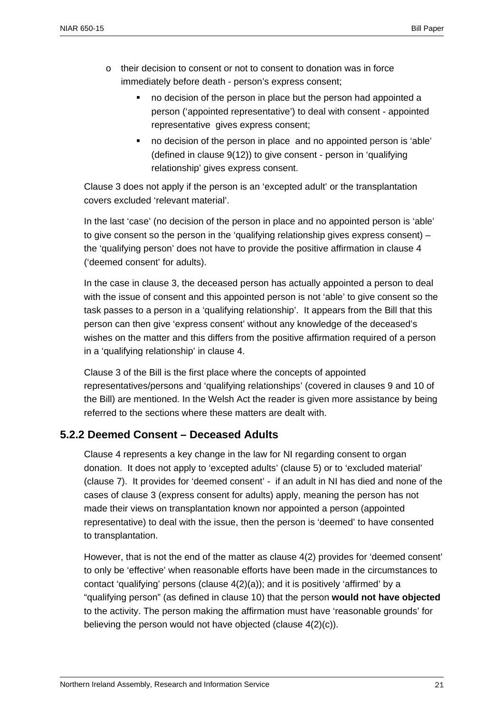- o their decision to consent or not to consent to donation was in force immediately before death - person's express consent;
	- no decision of the person in place but the person had appointed a person ('appointed representative') to deal with consent - appointed representative gives express consent;
	- no decision of the person in place and no appointed person is 'able' (defined in clause 9(12)) to give consent - person in 'qualifying relationship' gives express consent.

Clause 3 does not apply if the person is an 'excepted adult' or the transplantation covers excluded 'relevant material'.

In the last 'case' (no decision of the person in place and no appointed person is 'able' to give consent so the person in the 'qualifying relationship gives express consent) – the 'qualifying person' does not have to provide the positive affirmation in clause 4 ('deemed consent' for adults).

In the case in clause 3, the deceased person has actually appointed a person to deal with the issue of consent and this appointed person is not 'able' to give consent so the task passes to a person in a 'qualifying relationship'. It appears from the Bill that this person can then give 'express consent' without any knowledge of the deceased's wishes on the matter and this differs from the positive affirmation required of a person in a 'qualifying relationship' in clause 4.

Clause 3 of the Bill is the first place where the concepts of appointed representatives/persons and 'qualifying relationships' (covered in clauses 9 and 10 of the Bill) are mentioned. In the Welsh Act the reader is given more assistance by being referred to the sections where these matters are dealt with.

### **5.2.2 Deemed Consent – Deceased Adults**

Clause 4 represents a key change in the law for NI regarding consent to organ donation. It does not apply to 'excepted adults' (clause 5) or to 'excluded material' (clause 7). It provides for 'deemed consent' - if an adult in NI has died and none of the cases of clause 3 (express consent for adults) apply, meaning the person has not made their views on transplantation known nor appointed a person (appointed representative) to deal with the issue, then the person is 'deemed' to have consented to transplantation.

However, that is not the end of the matter as clause 4(2) provides for 'deemed consent' to only be 'effective' when reasonable efforts have been made in the circumstances to contact 'qualifying' persons (clause 4(2)(a)); and it is positively 'affirmed' by a "qualifying person" (as defined in clause 10) that the person **would not have objected** to the activity. The person making the affirmation must have 'reasonable grounds' for believing the person would not have objected (clause 4(2)(c)).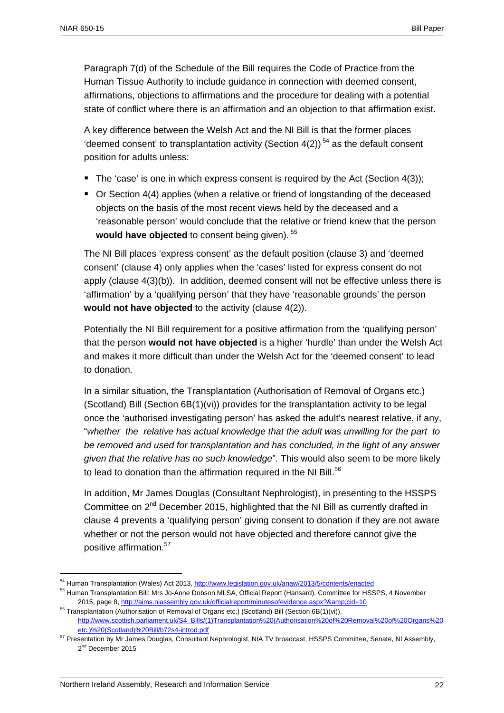Paragraph 7(d) of the Schedule of the Bill requires the Code of Practice from the Human Tissue Authority to include guidance in connection with deemed consent, affirmations, objections to affirmations and the procedure for dealing with a potential state of conflict where there is an affirmation and an objection to that affirmation exist.

A key difference between the Welsh Act and the NI Bill is that the former places 'deemed consent' to transplantation activity (Section  $4(2)$ )<sup>54</sup> as the default consent position for adults unless:

- The 'case' is one in which express consent is required by the Act (Section  $4(3)$ );
- Or Section 4(4) applies (when a relative or friend of longstanding of the deceased objects on the basis of the most recent views held by the deceased and a 'reasonable person' would conclude that the relative or friend knew that the person would have objected to consent being given).<sup>55</sup>

The NI Bill places 'express consent' as the default position (clause 3) and 'deemed consent' (clause 4) only applies when the 'cases' listed for express consent do not apply (clause 4(3)(b)). In addition, deemed consent will not be effective unless there is 'affirmation' by a 'qualifying person' that they have 'reasonable grounds' the person **would not have objected** to the activity (clause 4(2)).

Potentially the NI Bill requirement for a positive affirmation from the 'qualifying person' that the person **would not have objected** is a higher 'hurdle' than under the Welsh Act and makes it more difficult than under the Welsh Act for the 'deemed consent' to lead to donation.

In a similar situation, the Transplantation (Authorisation of Removal of Organs etc.) (Scotland) Bill (Section 6B(1)(vi)) provides for the transplantation activity to be legal once the 'authorised investigating person' has asked the adult's nearest relative, if any, "*whether the relative has actual knowledge that the adult was unwilling for the part to be removed and used for transplantation and has concluded, in the light of any answer given that the relative has no such knowledge*"*.* This would also seem to be more likely to lead to donation than the affirmation required in the NI Bill. $56$ 

In addition, Mr James Douglas (Consultant Nephrologist), in presenting to the HSSPS Committee on  $2^{nd}$  December 2015, highlighted that the NI Bill as currently drafted in clause 4 prevents a 'qualifying person' giving consent to donation if they are not aware whether or not the person would not have objected and therefore cannot give the positive affirmation.<sup>57</sup>

<sup>54</sup> Human Transplantation (Wales) Act 2013, http://www.legislation.gov.uk/anaw/2013/5/contents/enacted

<sup>&</sup>lt;sup>55</sup> Human Transplantation Bill: Mrs Jo-Anne Dobson MLSA, Official Report (Hansard), Committee for HSSPS, 4 November 2015, page 8, http://aims.niassembly.gov.uk/officialreport/minutesofevidence.aspx?&amp:cid=10

<sup>&</sup>lt;sup>56</sup> Transplantation (Authorisation of Removal of Organs etc.) (Scotland) Bill (Section 6B(1)(vi)), http://www.scottish.parliament.uk/S4\_Bills/(1)Transplantation%20(Authorisation%20of%20Removal%20of%20Organs%20 etc.)%20(Scotland)%20Bill/b72s4-introd.pdf

<sup>57</sup> Presentation by Mr James Douglas, Consultant Nephrologist, NIA TV broadcast, HSSPS Committee, Senate, NI Assembly, 2<sup>nd</sup> December 2015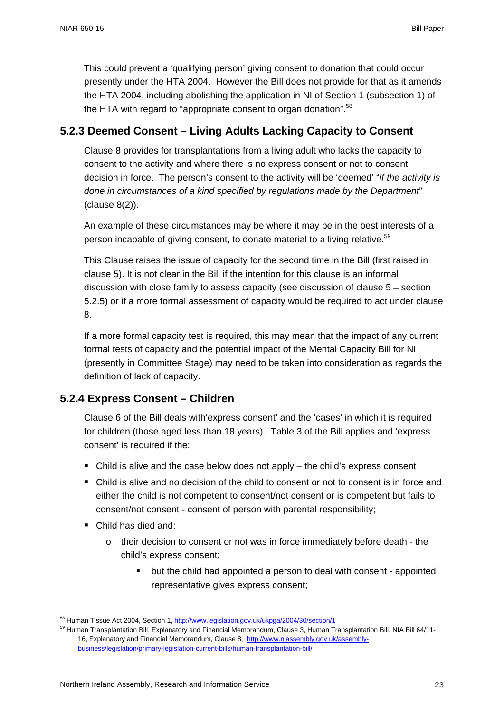This could prevent a 'qualifying person' giving consent to donation that could occur presently under the HTA 2004. However the Bill does not provide for that as it amends the HTA 2004, including abolishing the application in NI of Section 1 (subsection 1) of the HTA with regard to "appropriate consent to organ donation".<sup>58</sup>

### **5.2.3 Deemed Consent – Living Adults Lacking Capacity to Consent**

Clause 8 provides for transplantations from a living adult who lacks the capacity to consent to the activity and where there is no express consent or not to consent decision in force. The person's consent to the activity will be 'deemed' "*if the activity is done in circumstances of a kind specified by regulations made by the Department*" (clause 8(2)).

An example of these circumstances may be where it may be in the best interests of a person incapable of giving consent, to donate material to a living relative.<sup>59</sup>

This Clause raises the issue of capacity for the second time in the Bill (first raised in clause 5). It is not clear in the Bill if the intention for this clause is an informal discussion with close family to assess capacity (see discussion of clause 5 – section 5.2.5) or if a more formal assessment of capacity would be required to act under clause 8.

If a more formal capacity test is required, this may mean that the impact of any current formal tests of capacity and the potential impact of the Mental Capacity Bill for NI (presently in Committee Stage) may need to be taken into consideration as regards the definition of lack of capacity.

### **5.2.4 Express Consent – Children**

Clause 6 of the Bill deals with'express consent' and the 'cases' in which it is required for children (those aged less than 18 years). Table 3 of the Bill applies and 'express consent' is required if the:

- $\blacksquare$  Child is alive and the case below does not apply the child's express consent
- Child is alive and no decision of the child to consent or not to consent is in force and either the child is not competent to consent/not consent or is competent but fails to consent/not consent - consent of person with parental responsibility;
- Child has died and:

- o their decision to consent or not was in force immediately before death the child's express consent;
	- but the child had appointed a person to deal with consent appointed representative gives express consent;

<sup>&</sup>lt;sup>58</sup> Human Tissue Act 2004, Section 1, http://www.legislation.gov.uk/ukpga/2004/30/section/1

<sup>&</sup>lt;sup>59</sup> Human Transplantation Bill, Explanatory and Financial Memorandum, Clause 3, Human Transplantation Bill, NIA Bill 64/11-16, Explanatory and Financial Memorandum, Clause 8, http://www.niassembly.gov.uk/assemblybusiness/legislation/primary-legislation-current-bills/human-transplantation-bill/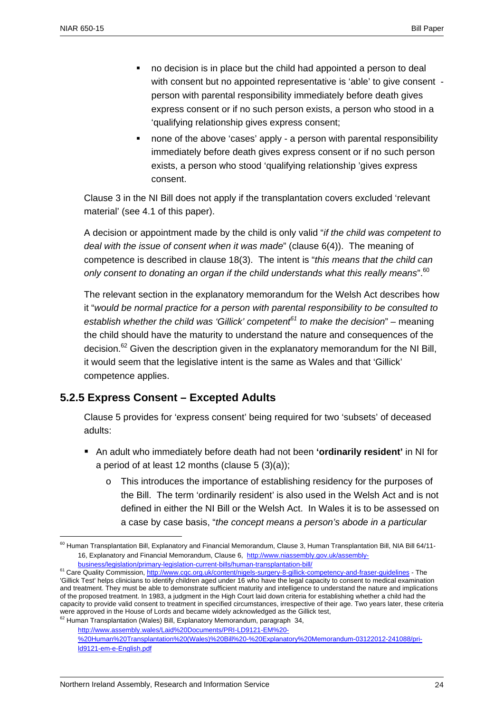1

- no decision is in place but the child had appointed a person to deal with consent but no appointed representative is 'able' to give consent person with parental responsibility immediately before death gives express consent or if no such person exists, a person who stood in a 'qualifying relationship gives express consent;
- none of the above 'cases' apply a person with parental responsibility immediately before death gives express consent or if no such person exists, a person who stood 'qualifying relationship 'gives express consent.

Clause 3 in the NI Bill does not apply if the transplantation covers excluded 'relevant material' (see 4.1 of this paper).

A decision or appointment made by the child is only valid "*if the child was competent to deal with the issue of consent when it was made*" (clause 6(4)). The meaning of competence is described in clause 18(3). The intent is "*this means that the child can only consent to donating an organ if the child understands what this really means*".60

The relevant section in the explanatory memorandum for the Welsh Act describes how it "*would be normal practice for a person with parental responsibility to be consulted to establish whether the child was 'Gillick' competent61 to make the decision*" – meaning the child should have the maturity to understand the nature and consequences of the decision.<sup>62</sup> Given the description given in the explanatory memorandum for the NI Bill, it would seem that the legislative intent is the same as Wales and that 'Gillick' competence applies.

### **5.2.5 Express Consent – Excepted Adults**

Clause 5 provides for 'express consent' being required for two 'subsets' of deceased adults:

- An adult who immediately before death had not been **'ordinarily resident'** in NI for a period of at least 12 months (clause  $5(3)(a)$ );
	- o This introduces the importance of establishing residency for the purposes of the Bill. The term 'ordinarily resident' is also used in the Welsh Act and is not defined in either the NI Bill or the Welsh Act. In Wales it is to be assessed on a case by case basis, "*the concept means a person's abode in a particular*

<sup>62</sup> Human Transplantation (Wales) Bill, Explanatory Memorandum, paragraph 34,

 $60$  Human Transplantation Bill, Explanatory and Financial Memorandum, Clause 3, Human Transplantation Bill, NIA Bill 64/11-16, Explanatory and Financial Memorandum, Clause 6, http://www.niassembly.gov.uk/assembly-

business/legislation/primary-legislation-current-bills/human-transplantation-bill/

<sup>&</sup>lt;sup>61</sup> Care Quality Commission, http://www.cqc.org.uk/content/nigels-surgery-8-gillick-competency-and-fraser-guidelines - The 'Gillick Test' helps clinicians to identify children aged under 16 who have the legal capacity to consent to medical examination and treatment. They must be able to demonstrate sufficient maturity and intelligence to understand the nature and implications of the proposed treatment. In 1983, a judgment in the High Court laid down criteria for establishing whether a child had the capacity to provide valid consent to treatment in specified circumstances, irrespective of their age. Two years later, these criteria were approved in the House of Lords and became widely acknowledged as the Gillick test,

http://www.assembly.wales/Laid%20Documents/PRI-LD9121-EM%20-

<sup>%20</sup>Human%20Transplantation%20(Wales)%20Bill%20-%20Explanatory%20Memorandum-03122012-241088/prild9121-em-e-English.pdf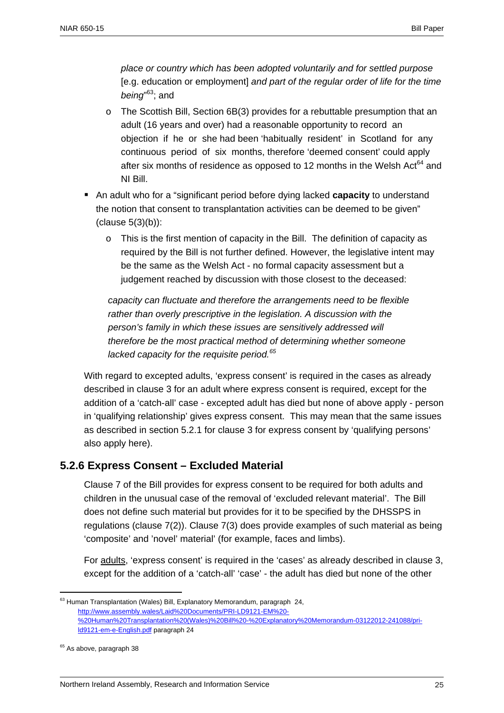*place or country which has been adopted voluntarily and for settled purpose*  [e.g. education or employment] *and part of the regular order of life for the time being*" 63; and

- $\circ$  The Scottish Bill, Section 6B(3) provides for a rebuttable presumption that an adult (16 years and over) had a reasonable opportunity to record an objection if he or she had been 'habitually resident' in Scotland for any continuous period of six months, therefore 'deemed consent' could apply after six months of residence as opposed to 12 months in the Welsh Act $64$  and NI Bill.
- An adult who for a "significant period before dying lacked **capacity** to understand the notion that consent to transplantation activities can be deemed to be given" (clause 5(3)(b)):
	- $\circ$  This is the first mention of capacity in the Bill. The definition of capacity as required by the Bill is not further defined. However, the legislative intent may be the same as the Welsh Act - no formal capacity assessment but a judgement reached by discussion with those closest to the deceased:

*capacity can fluctuate and therefore the arrangements need to be flexible rather than overly prescriptive in the legislation. A discussion with the person's family in which these issues are sensitively addressed will therefore be the most practical method of determining whether someone lacked capacity for the requisite period.65* 

With regard to excepted adults, 'express consent' is required in the cases as already described in clause 3 for an adult where express consent is required, except for the addition of a 'catch-all' case - excepted adult has died but none of above apply - person in 'qualifying relationship' gives express consent. This may mean that the same issues as described in section 5.2.1 for clause 3 for express consent by 'qualifying persons' also apply here).

### **5.2.6 Express Consent – Excluded Material**

Clause 7 of the Bill provides for express consent to be required for both adults and children in the unusual case of the removal of 'excluded relevant material'. The Bill does not define such material but provides for it to be specified by the DHSSPS in regulations (clause 7(2)). Clause 7(3) does provide examples of such material as being 'composite' and 'novel' material' (for example, faces and limbs).

For adults, 'express consent' is required in the 'cases' as already described in clause 3, except for the addition of a 'catch-all' 'case' - the adult has died but none of the other

<sup>&</sup>lt;sup>63</sup> Human Transplantation (Wales) Bill, Explanatory Memorandum, paragraph 24, http://www.assembly.wales/Laid%20Documents/PRI-LD9121-EM%20- %20Human%20Transplantation%20(Wales)%20Bill%20-%20Explanatory%20Memorandum-03122012-241088/prild9121-em-e-English.pdf paragraph 24

<sup>&</sup>lt;sup>65</sup> As above, paragraph 38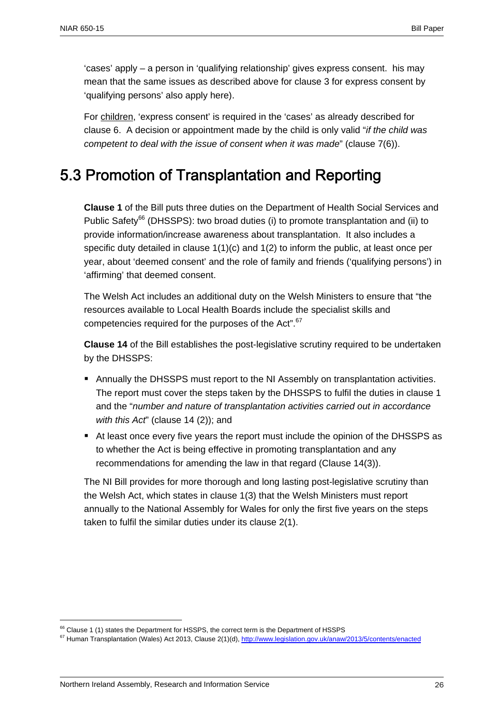'cases' apply – a person in 'qualifying relationship' gives express consent. his may mean that the same issues as described above for clause 3 for express consent by 'qualifying persons' also apply here).

For children, 'express consent' is required in the 'cases' as already described for clause 6. A decision or appointment made by the child is only valid "*if the child was competent to deal with the issue of consent when it was made*" (clause 7(6)).

# 5.3 Promotion of Transplantation and Reporting

**Clause 1** of the Bill puts three duties on the Department of Health Social Services and Public Safety<sup>66</sup> (DHSSPS): two broad duties (i) to promote transplantation and (ii) to provide information/increase awareness about transplantation. It also includes a specific duty detailed in clause  $1(1)(c)$  and  $1(2)$  to inform the public, at least once per year, about 'deemed consent' and the role of family and friends ('qualifying persons') in 'affirming' that deemed consent.

The Welsh Act includes an additional duty on the Welsh Ministers to ensure that "the resources available to Local Health Boards include the specialist skills and competencies required for the purposes of the Act".<sup>67</sup>

**Clause 14** of the Bill establishes the post-legislative scrutiny required to be undertaken by the DHSSPS:

- Annually the DHSSPS must report to the NI Assembly on transplantation activities. The report must cover the steps taken by the DHSSPS to fulfil the duties in clause 1 and the "*number and nature of transplantation activities carried out in accordance with this Act*" (clause 14 (2)); and
- At least once every five years the report must include the opinion of the DHSSPS as to whether the Act is being effective in promoting transplantation and any recommendations for amending the law in that regard (Clause 14(3)).

The NI Bill provides for more thorough and long lasting post-legislative scrutiny than the Welsh Act, which states in clause 1(3) that the Welsh Ministers must report annually to the National Assembly for Wales for only the first five years on the steps taken to fulfil the similar duties under its clause 2(1).

<sup>&</sup>lt;sup>66</sup> Clause 1 (1) states the Department for HSSPS, the correct term is the Department of HSSPS

<sup>&</sup>lt;sup>67</sup> Human Transplantation (Wales) Act 2013, Clause 2(1)(d), http://www.legislation.gov.uk/anaw/2013/5/contents/enacted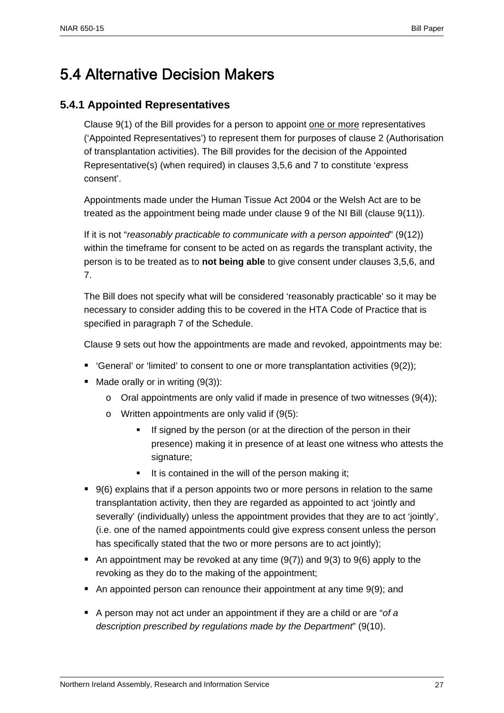# 5.4 Alternative Decision Makers

### **5.4.1 Appointed Representatives**

Clause 9(1) of the Bill provides for a person to appoint one or more representatives ('Appointed Representatives') to represent them for purposes of clause 2 (Authorisation of transplantation activities). The Bill provides for the decision of the Appointed Representative(s) (when required) in clauses 3,5,6 and 7 to constitute 'express consent'.

Appointments made under the Human Tissue Act 2004 or the Welsh Act are to be treated as the appointment being made under clause 9 of the NI Bill (clause 9(11)).

If it is not "*reasonably practicable to communicate with a person appointed*" (9(12)) within the timeframe for consent to be acted on as regards the transplant activity, the person is to be treated as to **not being able** to give consent under clauses 3,5,6, and 7.

The Bill does not specify what will be considered 'reasonably practicable' so it may be necessary to consider adding this to be covered in the HTA Code of Practice that is specified in paragraph 7 of the Schedule.

Clause 9 sets out how the appointments are made and revoked, appointments may be:

- General' or 'limited' to consent to one or more transplantation activities  $(9(2))$ ;
- $\blacksquare$  Made orally or in writing (9(3)):
	- $\circ$  Oral appointments are only valid if made in presence of two witnesses (9(4));
	- o Written appointments are only valid if (9(5):
		- If signed by the person (or at the direction of the person in their presence) making it in presence of at least one witness who attests the signature;
		- $\blacksquare$  It is contained in the will of the person making it;
- 9(6) explains that if a person appoints two or more persons in relation to the same transplantation activity, then they are regarded as appointed to act 'jointly and severally' (individually) unless the appointment provides that they are to act 'jointly', (i.e. one of the named appointments could give express consent unless the person has specifically stated that the two or more persons are to act jointly);
- An appointment may be revoked at any time  $(9(7))$  and  $9(3)$  to  $9(6)$  apply to the revoking as they do to the making of the appointment;
- An appointed person can renounce their appointment at any time 9(9); and
- A person may not act under an appointment if they are a child or are "*of a description prescribed by regulations made by the Department*" (9(10).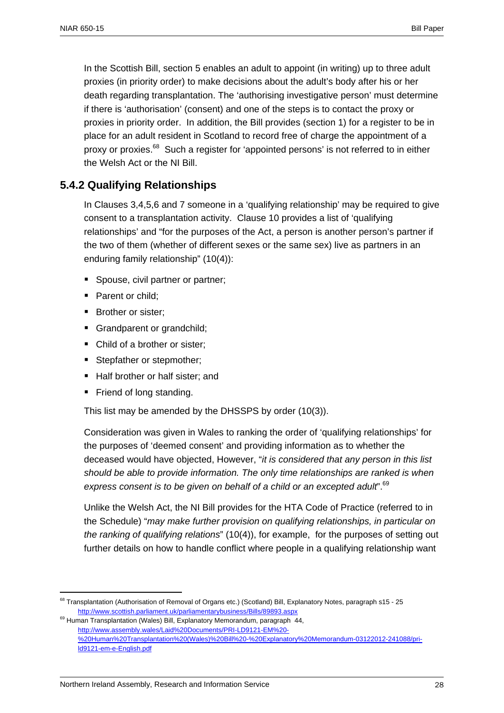In the Scottish Bill, section 5 enables an adult to appoint (in writing) up to three adult proxies (in priority order) to make decisions about the adult's body after his or her death regarding transplantation. The 'authorising investigative person' must determine if there is 'authorisation' (consent) and one of the steps is to contact the proxy or proxies in priority order. In addition, the Bill provides (section 1) for a register to be in place for an adult resident in Scotland to record free of charge the appointment of a proxy or proxies.<sup>68</sup> Such a register for 'appointed persons' is not referred to in either the Welsh Act or the NI Bill.

### **5.4.2 Qualifying Relationships**

In Clauses 3,4,5,6 and 7 someone in a 'qualifying relationship' may be required to give consent to a transplantation activity. Clause 10 provides a list of 'qualifying relationships' and "for the purposes of the Act, a person is another person's partner if the two of them (whether of different sexes or the same sex) live as partners in an enduring family relationship" (10(4)):

- **Spouse, civil partner or partner;**
- Parent or child:
- Brother or sister:
- Grandparent or grandchild;
- Child of a brother or sister:
- Stepfather or stepmother;
- Half brother or half sister; and
- Friend of long standing.

1

This list may be amended by the DHSSPS by order (10(3)).

Consideration was given in Wales to ranking the order of 'qualifying relationships' for the purposes of 'deemed consent' and providing information as to whether the deceased would have objected, However, "*it is considered that any person in this list should be able to provide information. The only time relationships are ranked is when express consent is to be given on behalf of a child or an excepted adult*".69

Unlike the Welsh Act, the NI Bill provides for the HTA Code of Practice (referred to in the Schedule) "*may make further provision on qualifying relationships, in particular on the ranking of qualifying relations*" (10(4)), for example, for the purposes of setting out further details on how to handle conflict where people in a qualifying relationship want

<sup>&</sup>lt;sup>68</sup> Transplantation (Authorisation of Removal of Organs etc.) (Scotland) Bill, Explanatory Notes, paragraph s15 - 25 http://www.scottish.parliament.uk/parliamentarybusiness/Bills/89893.aspx

<sup>&</sup>lt;sup>69</sup> Human Transplantation (Wales) Bill, Explanatory Memorandum, paragraph 44, http://www.assembly.wales/Laid%20Documents/PRI-LD9121-EM%20- %20Human%20Transplantation%20(Wales)%20Bill%20-%20Explanatory%20Memorandum-03122012-241088/prild9121-em-e-English.pdf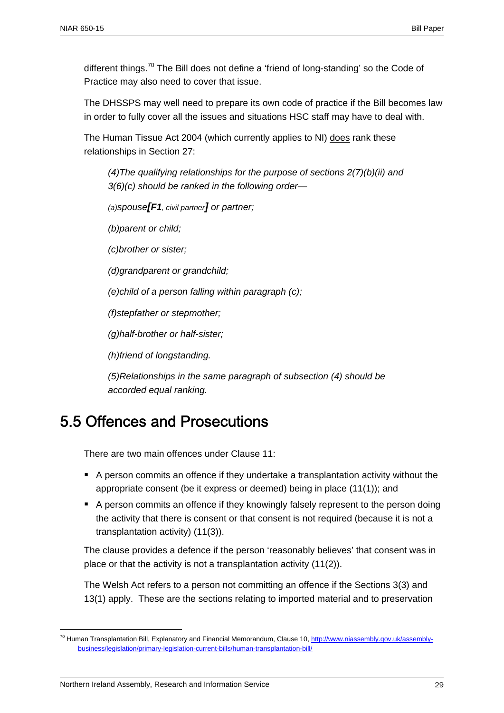different things.<sup>70</sup> The Bill does not define a 'friend of long-standing' so the Code of Practice may also need to cover that issue.

The DHSSPS may well need to prepare its own code of practice if the Bill becomes law in order to fully cover all the issues and situations HSC staff may have to deal with.

The Human Tissue Act 2004 (which currently applies to NI) does rank these relationships in Section 27:

*(4)The qualifying relationships for the purpose of sections 2(7)(b)(ii) and 3(6)(c) should be ranked in the following order—* 

*(a)spouse[F1, civil partner] or partner;* 

*(b)parent or child;* 

*(c)brother or sister;* 

*(d)grandparent or grandchild;* 

*(e)child of a person falling within paragraph (c);* 

*(f)stepfather or stepmother;* 

*(g)half-brother or half-sister;* 

*(h)friend of longstanding.* 

*(5)Relationships in the same paragraph of subsection (4) should be accorded equal ranking.* 

# 5.5 Offences and Prosecutions

There are two main offences under Clause 11:

- A person commits an offence if they undertake a transplantation activity without the appropriate consent (be it express or deemed) being in place (11(1)); and
- A person commits an offence if they knowingly falsely represent to the person doing the activity that there is consent or that consent is not required (because it is not a transplantation activity) (11(3)).

The clause provides a defence if the person 'reasonably believes' that consent was in place or that the activity is not a transplantation activity (11(2)).

The Welsh Act refers to a person not committing an offence if the Sections 3(3) and 13(1) apply. These are the sections relating to imported material and to preservation

<sup>&</sup>lt;sup>70</sup> Human Transplantation Bill, Explanatory and Financial Memorandum, Clause 10, http://www.niassembly.gov.uk/assemblybusiness/legislation/primary-legislation-current-bills/human-transplantation-bill/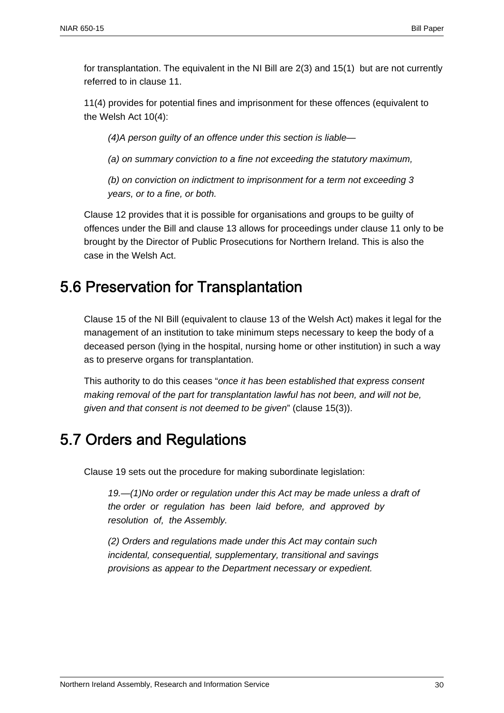for transplantation. The equivalent in the NI Bill are 2(3) and 15(1) but are not currently referred to in clause 11.

11(4) provides for potential fines and imprisonment for these offences (equivalent to the Welsh Act 10(4):

*(4)A person guilty of an offence under this section is liable—* 

*(a) on summary conviction to a fine not exceeding the statutory maximum,* 

*(b) on conviction on indictment to imprisonment for a term not exceeding 3 years, or to a fine, or both.* 

Clause 12 provides that it is possible for organisations and groups to be guilty of offences under the Bill and clause 13 allows for proceedings under clause 11 only to be brought by the Director of Public Prosecutions for Northern Ireland. This is also the case in the Welsh Act.

# 5.6 Preservation for Transplantation

Clause 15 of the NI Bill (equivalent to clause 13 of the Welsh Act) makes it legal for the management of an institution to take minimum steps necessary to keep the body of a deceased person (lying in the hospital, nursing home or other institution) in such a way as to preserve organs for transplantation.

This authority to do this ceases "*once it has been established that express consent making removal of the part for transplantation lawful has not been, and will not be, given and that consent is not deemed to be given*" (clause 15(3)).

# 5.7 Orders and Regulations

Clause 19 sets out the procedure for making subordinate legislation:

*19.—(1)No order or regulation under this Act may be made unless a draft of the order or regulation has been laid before, and approved by resolution of, the Assembly.* 

*(2) Orders and regulations made under this Act may contain such incidental, consequential, supplementary, transitional and savings provisions as appear to the Department necessary or expedient.*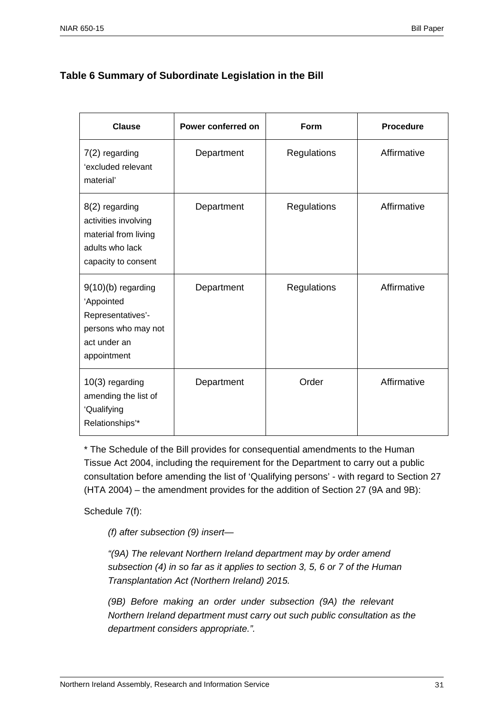### **Table 6 Summary of Subordinate Legislation in the Bill**

| <b>Clause</b>                                                                                                 | Power conferred on | Form        | <b>Procedure</b> |
|---------------------------------------------------------------------------------------------------------------|--------------------|-------------|------------------|
| $7(2)$ regarding<br>'excluded relevant<br>material'                                                           | Department         | Regulations | Affirmative      |
| 8(2) regarding<br>activities involving<br>material from living<br>adults who lack<br>capacity to consent      | Department         | Regulations | Affirmative      |
| $9(10)(b)$ regarding<br>'Appointed<br>Representatives'-<br>persons who may not<br>act under an<br>appointment | Department         | Regulations | Affirmative      |
| 10(3) regarding<br>amending the list of<br>'Qualifying<br>Relationships'*                                     | Department         | Order       | Affirmative      |

\* The Schedule of the Bill provides for consequential amendments to the Human Tissue Act 2004, including the requirement for the Department to carry out a public consultation before amending the list of 'Qualifying persons' - with regard to Section 27 (HTA 2004) – the amendment provides for the addition of Section 27 (9A and 9B):

Schedule 7(f):

*(f) after subsection (9) insert—* 

*"(9A) The relevant Northern Ireland department may by order amend subsection (4) in so far as it applies to section 3, 5, 6 or 7 of the Human Transplantation Act (Northern Ireland) 2015.* 

*(9B) Before making an order under subsection (9A) the relevant Northern Ireland department must carry out such public consultation as the department considers appropriate.".*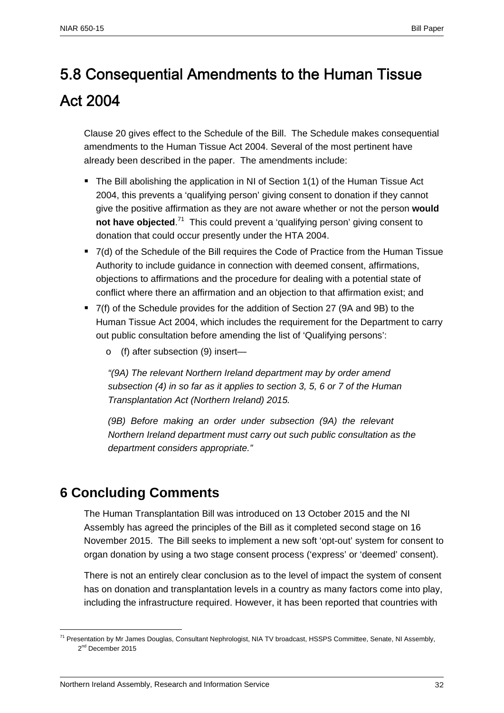# 5.8 Consequential Amendments to the Human Tissue Act 2004

Clause 20 gives effect to the Schedule of the Bill. The Schedule makes consequential amendments to the Human Tissue Act 2004. Several of the most pertinent have already been described in the paper. The amendments include:

- The Bill abolishing the application in NI of Section 1(1) of the Human Tissue Act 2004, this prevents a 'qualifying person' giving consent to donation if they cannot give the positive affirmation as they are not aware whether or not the person **would**  not have objected.<sup>71</sup> This could prevent a 'qualifying person' giving consent to donation that could occur presently under the HTA 2004.
- 7(d) of the Schedule of the Bill requires the Code of Practice from the Human Tissue Authority to include guidance in connection with deemed consent, affirmations, objections to affirmations and the procedure for dealing with a potential state of conflict where there an affirmation and an objection to that affirmation exist; and
- 7(f) of the Schedule provides for the addition of Section 27 (9A and 9B) to the Human Tissue Act 2004, which includes the requirement for the Department to carry out public consultation before amending the list of 'Qualifying persons':
	- o (f) after subsection (9) insert—

*"(9A) The relevant Northern Ireland department may by order amend subsection (4) in so far as it applies to section 3, 5, 6 or 7 of the Human Transplantation Act (Northern Ireland) 2015.* 

*(9B) Before making an order under subsection (9A) the relevant Northern Ireland department must carry out such public consultation as the department considers appropriate."* 

# **6 Concluding Comments**

1

The Human Transplantation Bill was introduced on 13 October 2015 and the NI Assembly has agreed the principles of the Bill as it completed second stage on 16 November 2015. The Bill seeks to implement a new soft 'opt-out' system for consent to organ donation by using a two stage consent process ('express' or 'deemed' consent).

There is not an entirely clear conclusion as to the level of impact the system of consent has on donation and transplantation levels in a country as many factors come into play, including the infrastructure required. However, it has been reported that countries with

<sup>&</sup>lt;sup>71</sup> Presentation by Mr James Douglas, Consultant Nephrologist, NIA TV broadcast, HSSPS Committee, Senate, NI Assembly, 2<sup>nd</sup> December 2015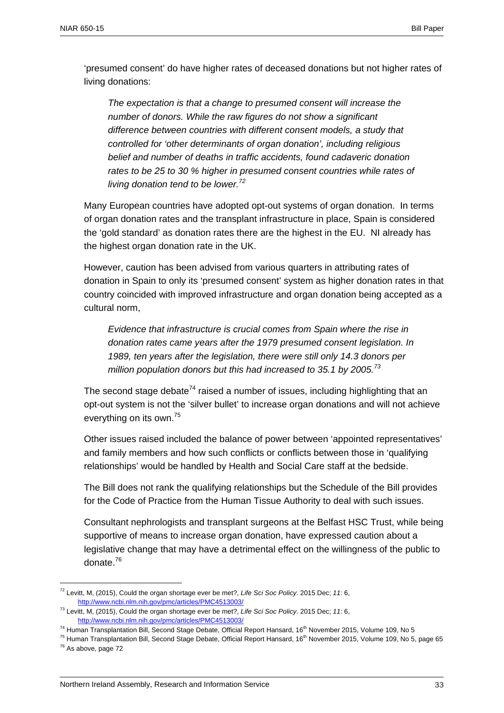'presumed consent' do have higher rates of deceased donations but not higher rates of living donations:

*The expectation is that a change to presumed consent will increase the number of donors. While the raw figures do not show a significant difference between countries with different consent models, a study that controlled for 'other determinants of organ donation', including religious belief and number of deaths in traffic accidents, found cadaveric donation rates to be 25 to 30 % higher in presumed consent countries while rates of living donation tend to be lower.72*

Many European countries have adopted opt-out systems of organ donation. In terms of organ donation rates and the transplant infrastructure in place, Spain is considered the 'gold standard' as donation rates there are the highest in the EU. NI already has the highest organ donation rate in the UK.

However, caution has been advised from various quarters in attributing rates of donation in Spain to only its 'presumed consent' system as higher donation rates in that country coincided with improved infrastructure and organ donation being accepted as a cultural norm,

*Evidence that infrastructure is crucial comes from Spain where the rise in donation rates came years after the 1979 presumed consent legislation. In 1989, ten years after the legislation, there were still only 14.3 donors per million population donors but this had increased to 35.1 by 2005.<sup>73</sup>*

The second stage debate<sup>74</sup> raised a number of issues, including highlighting that an opt-out system is not the 'silver bullet' to increase organ donations and will not achieve everything on its own.75

Other issues raised included the balance of power between 'appointed representatives' and family members and how such conflicts or conflicts between those in 'qualifying relationships' would be handled by Health and Social Care staff at the bedside.

The Bill does not rank the qualifying relationships but the Schedule of the Bill provides for the Code of Practice from the Human Tissue Authority to deal with such issues.

Consultant nephrologists and transplant surgeons at the Belfast HSC Trust, while being supportive of means to increase organ donation, have expressed caution about a legislative change that may have a detrimental effect on the willingness of the public to donate.<sup>76</sup>

<sup>72</sup> Levitt, M, (2015), Could the organ shortage ever be met?, *Life Sci Soc Policy*. 2015 Dec; *11*: 6, http://www.ncbi.nlm.nih.gov/pmc/articles/PMC4513003/

<sup>73</sup> Levitt, M, (2015), Could the organ shortage ever be met?, *Life Sci Soc Policy*. 2015 Dec; *11*: 6, http://www.ncbi.nlm.nih.gov/pmc/articles/PMC4513003/

<sup>&</sup>lt;sup>74</sup> Human Transplantation Bill, Second Stage Debate, Official Report Hansard, 16<sup>th</sup> November 2015, Volume 109, No 5<br><sup>75</sup> Human Transplantation Bill, Second Stage Debate, Official Report Hansard, 16<sup>th</sup> November 2015, Vo